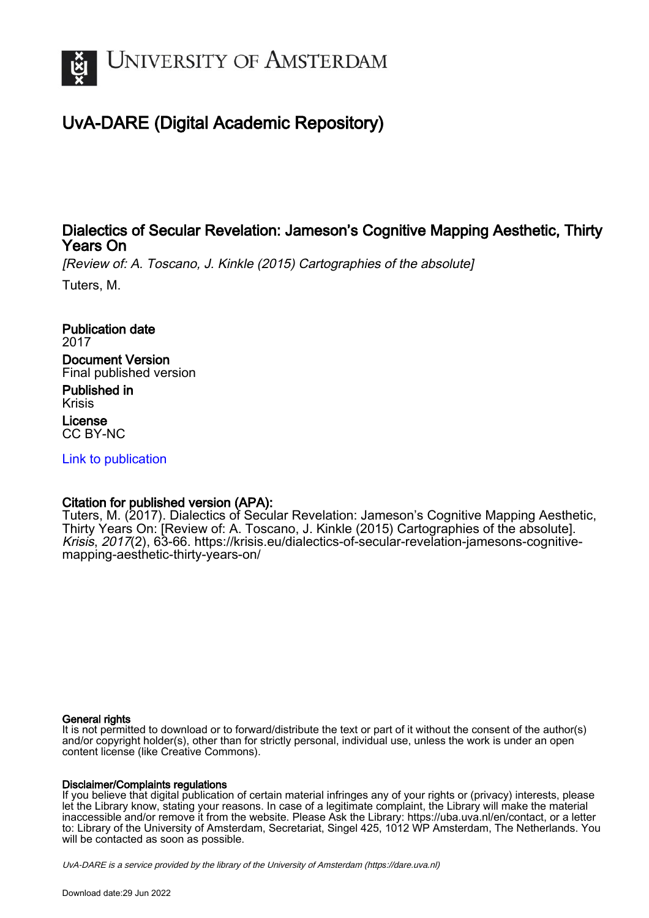

## UvA-DARE (Digital Academic Repository)

### Dialectics of Secular Revelation: Jameson's Cognitive Mapping Aesthetic, Thirty Years On

[Review of: A. Toscano, J. Kinkle (2015) Cartographies of the absolute]

Tuters, M.

Publication date 2017 Document Version Final published version

Published in Krisis License CC BY-NC

[Link to publication](https://dare.uva.nl/personal/pure/en/publications/dialectics-of-secular-revelation-jamesons-cognitive-mapping-aesthetic-thirty-years-on(dd2afa8d-69f5-477c-be84-2fd5779333fd).html)

#### Citation for published version (APA):

Tuters, M. (2017). Dialectics of Secular Revelation: Jameson's Cognitive Mapping Aesthetic, Thirty Years On: [Review of: A. Toscano, J. Kinkle (2015) Cartographies of the absolute]. Krisis, 2017(2), 63-66. [https://krisis.eu/dialectics-of-secular-revelation-jamesons-cognitive](https://krisis.eu/dialectics-of-secular-revelation-jamesons-cognitive-mapping-aesthetic-thirty-years-on/)[mapping-aesthetic-thirty-years-on/](https://krisis.eu/dialectics-of-secular-revelation-jamesons-cognitive-mapping-aesthetic-thirty-years-on/)

#### General rights

It is not permitted to download or to forward/distribute the text or part of it without the consent of the author(s) and/or copyright holder(s), other than for strictly personal, individual use, unless the work is under an open content license (like Creative Commons).

#### Disclaimer/Complaints regulations

If you believe that digital publication of certain material infringes any of your rights or (privacy) interests, please let the Library know, stating your reasons. In case of a legitimate complaint, the Library will make the material inaccessible and/or remove it from the website. Please Ask the Library: https://uba.uva.nl/en/contact, or a letter to: Library of the University of Amsterdam, Secretariat, Singel 425, 1012 WP Amsterdam, The Netherlands. You will be contacted as soon as possible.

UvA-DARE is a service provided by the library of the University of Amsterdam (http*s*://dare.uva.nl)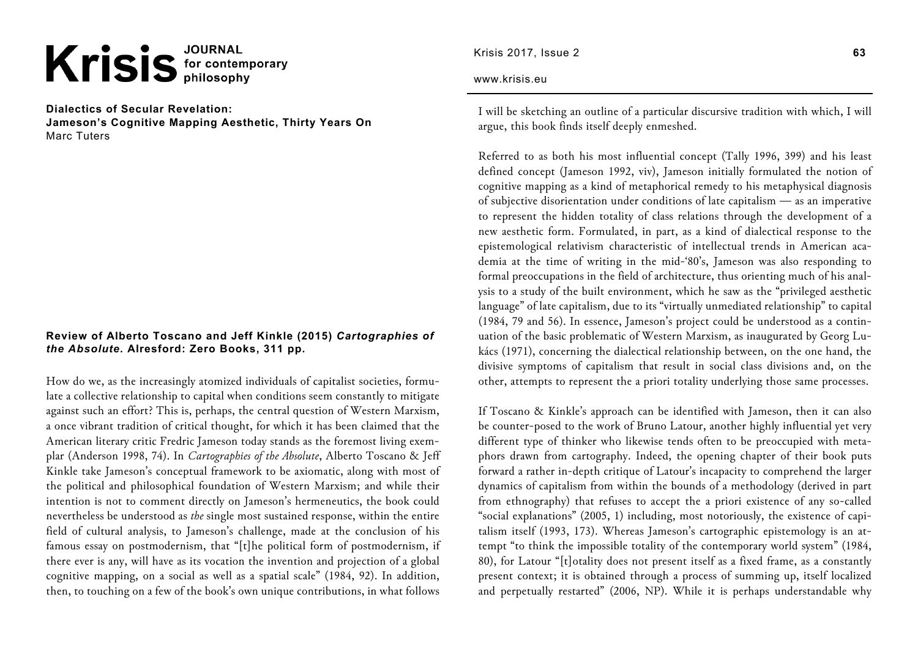# Krisis<sup>JOURNAL</sup>

**Dialectics of Secular Revelation: Jameson's Cognitive Mapping Aesthetic, Thirty Years On**  Marc Tuters

#### **Review of Alberto Toscano and Jeff Kinkle (2015)** *Cartographies of the Absolute***. Alresford: Zero Books, 311 pp.**

How do we, as the increasingly atomized individuals of capitalist societies, formulate a collective relationship to capital when conditions seem constantly to mitigate against such an effort? This is, perhaps, the central question of Western Marxism, a once vibrant tradition of critical thought, for which it has been claimed that the American literary critic Fredric Jameson today stands as the foremost living exemplar (Anderson 1998, 74). In *Cartographies of the Absolute*, Alberto Toscano & Jeff Kinkle take Jameson's conceptual framework to be axiomatic, along with most of the political and philosophical foundation of Western Marxism; and while their intention is not to comment directly on Jameson's hermeneutics, the book could nevertheless be understood as *the* single most sustained response, within the entire field of cultural analysis, to Jameson's challenge, made at the conclusion of his famous essay on postmodernism, that "[t]he political form of postmodernism, if there ever is any, will have as its vocation the invention and projection of a global cognitive mapping, on a social as well as a spatial scale" (1984, 92). In addition, then, to touching on a few of the book's own unique contributions, in what follows

Krisis 2017, Issue 2

#### www.krisis.eu

I will be sketching an outline of a particular discursive tradition with which, I will argue, this book finds itself deeply enmeshed.

Referred to as both his most influential concept (Tally 1996, 399) and his least defined concept (Jameson 1992, viv), Jameson initially formulated the notion of cognitive mapping as a kind of metaphorical remedy to his metaphysical diagnosis of subjective disorientation under conditions of late capitalism — as an imperative to represent the hidden totality of class relations through the development of a new aesthetic form. Formulated, in part, as a kind of dialectical response to the epistemological relativism characteristic of intellectual trends in American academia at the time of writing in the mid-'80's, Jameson was also responding to formal preoccupations in the field of architecture, thus orienting much of his analysis to a study of the built environment, which he saw as the "privileged aesthetic language" of late capitalism, due to its "virtually unmediated relationship" to capital (1984, 79 and 56). In essence, Jameson's project could be understood as a continuation of the basic problematic of Western Marxism, as inaugurated by Georg Lukács (1971), concerning the dialectical relationship between, on the one hand, the divisive symptoms of capitalism that result in social class divisions and, on the other, attempts to represent the a priori totality underlying those same processes.

If Toscano & Kinkle's approach can be identified with Jameson, then it can also be counter-posed to the work of Bruno Latour, another highly influential yet very different type of thinker who likewise tends often to be preoccupied with metaphors drawn from cartography. Indeed, the opening chapter of their book puts forward a rather in-depth critique of Latour's incapacity to comprehend the larger dynamics of capitalism from within the bounds of a methodology (derived in part from ethnography) that refuses to accept the a priori existence of any so-called "social explanations" (2005, 1) including, most notoriously, the existence of capitalism itself (1993, 173). Whereas Jameson's cartographic epistemology is an attempt "to think the impossible totality of the contemporary world system" (1984, 80), for Latour "[t]otality does not present itself as a fixed frame, as a constantly present context; it is obtained through a process of summing up, itself localized and perpetually restarted" (2006, NP). While it is perhaps understandable why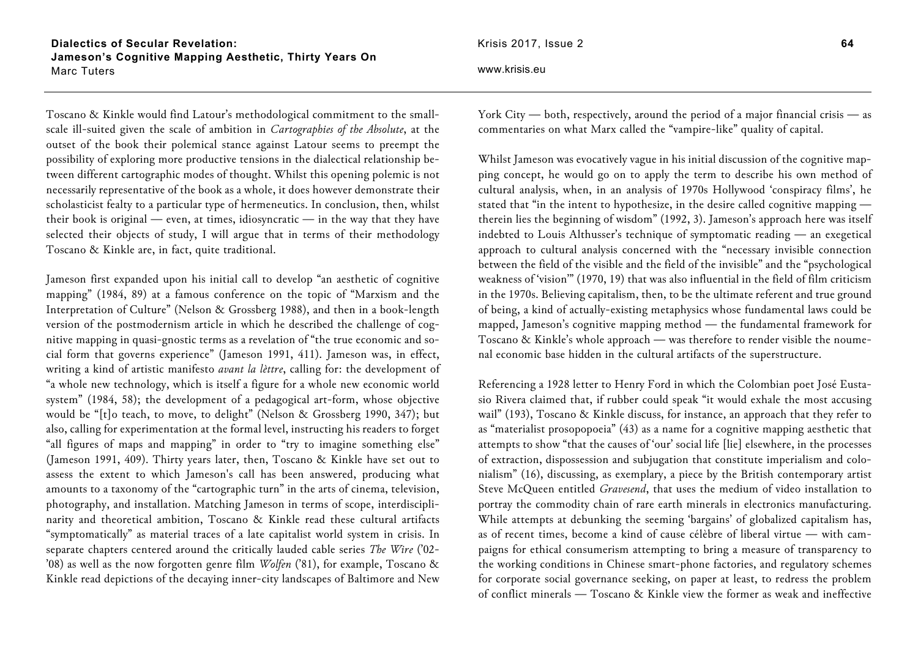**Dialectics of Secular Revelation: Jameson's Cognitive Mapping Aesthetic, Thirty Years On**  Marc Tuters

Toscano & Kinkle would find Latour's methodological commitment to the smallscale ill-suited given the scale of ambition in *Cartographies of the Absolute*, at the outset of the book their polemical stance against Latour seems to preempt the possibility of exploring more productive tensions in the dialectical relationship between different cartographic modes of thought. Whilst this opening polemic is not necessarily representative of the book as a whole, it does however demonstrate their scholasticist fealty to a particular type of hermeneutics. In conclusion, then, whilst their book is original — even, at times, idiosyncratic — in the way that they have selected their objects of study, I will argue that in terms of their methodology Toscano & Kinkle are, in fact, quite traditional.

Jameson first expanded upon his initial call to develop "an aesthetic of cognitive mapping" (1984, 89) at a famous conference on the topic of "Marxism and the Interpretation of Culture" (Nelson & Grossberg 1988), and then in a book-length version of the postmodernism article in which he described the challenge of cognitive mapping in quasi-gnostic terms as a revelation of "the true economic and social form that governs experience" (Jameson 1991, 411). Jameson was, in effect, writing a kind of artistic manifesto *avant la lèttre*, calling for: the development of "a whole new technology, which is itself a figure for a whole new economic world system" (1984, 58); the development of a pedagogical art-form, whose objective would be "[t]o teach, to move, to delight" (Nelson & Grossberg 1990, 347); but also, calling for experimentation at the formal level, instructing his readers to forget "all figures of maps and mapping" in order to "try to imagine something else" (Jameson 1991, 409). Thirty years later, then, Toscano & Kinkle have set out to assess the extent to which Jameson's call has been answered, producing what amounts to a taxonomy of the "cartographic turn" in the arts of cinema, television, photography, and installation. Matching Jameson in terms of scope, interdisciplinarity and theoretical ambition, Toscano & Kinkle read these cultural artifacts "symptomatically" as material traces of a late capitalist world system in crisis. In separate chapters centered around the critically lauded cable series *The Wire* ('02- '08) as well as the now forgotten genre film *Wolfen* ('81), for example, Toscano & Kinkle read depictions of the decaying inner-city landscapes of Baltimore and New

www.krisis.eu

York City — both, respectively, around the period of a major financial crisis — as commentaries on what Marx called the "vampire-like" quality of capital.

Whilst Jameson was evocatively vague in his initial discussion of the cognitive mapping concept, he would go on to apply the term to describe his own method of cultural analysis, when, in an analysis of 1970s Hollywood 'conspiracy films', he stated that "in the intent to hypothesize, in the desire called cognitive mapping therein lies the beginning of wisdom" (1992, 3). Jameson's approach here was itself indebted to Louis Althusser's technique of symptomatic reading — an exegetical approach to cultural analysis concerned with the "necessary invisible connection between the field of the visible and the field of the invisible" and the "psychological weakness of 'vision'" (1970, 19) that was also influential in the field of film criticism in the 1970s. Believing capitalism, then, to be the ultimate referent and true ground of being, a kind of actually-existing metaphysics whose fundamental laws could be mapped, Jameson's cognitive mapping method — the fundamental framework for Toscano & Kinkle's whole approach — was therefore to render visible the noumenal economic base hidden in the cultural artifacts of the superstructure.

Referencing a 1928 letter to Henry Ford in which the Colombian poet José Eustasio Rivera claimed that, if rubber could speak "it would exhale the most accusing wail" (193), Toscano & Kinkle discuss, for instance, an approach that they refer to as "materialist prosopopoeia" (43) as a name for a cognitive mapping aesthetic that attempts to show "that the causes of 'our' social life [lie] elsewhere, in the processes of extraction, dispossession and subjugation that constitute imperialism and colonialism" (16), discussing, as exemplary, a piece by the British contemporary artist Steve McQueen entitled *Gravesend*, that uses the medium of video installation to portray the commodity chain of rare earth minerals in electronics manufacturing. While attempts at debunking the seeming 'bargains' of globalized capitalism has, as of recent times, become a kind of cause célèbre of liberal virtue — with campaigns for ethical consumerism attempting to bring a measure of transparency to the working conditions in Chinese smart-phone factories, and regulatory schemes for corporate social governance seeking, on paper at least, to redress the problem of conflict minerals — Toscano & Kinkle view the former as weak and ineffective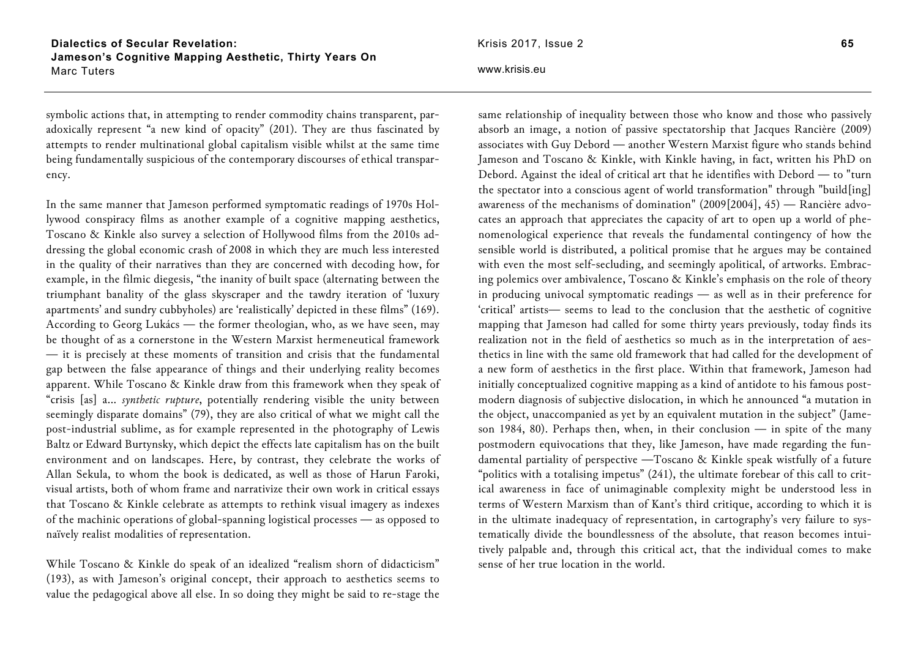**Dialectics of Secular Revelation: Jameson's Cognitive Mapping Aesthetic, Thirty Years On**  Marc Tuters

symbolic actions that, in attempting to render commodity chains transparent, paradoxically represent "a new kind of opacity" (201). They are thus fascinated by attempts to render multinational global capitalism visible whilst at the same time being fundamentally suspicious of the contemporary discourses of ethical transparency.

In the same manner that Jameson performed symptomatic readings of 1970s Hollywood conspiracy films as another example of a cognitive mapping aesthetics, Toscano & Kinkle also survey a selection of Hollywood films from the 2010s addressing the global economic crash of 2008 in which they are much less interested in the quality of their narratives than they are concerned with decoding how, for example, in the filmic diegesis, "the inanity of built space (alternating between the triumphant banality of the glass skyscraper and the tawdry iteration of 'luxury apartments' and sundry cubbyholes) are 'realistically' depicted in these films" (169). According to Georg Lukács — the former theologian, who, as we have seen, may be thought of as a cornerstone in the Western Marxist hermeneutical framework — it is precisely at these moments of transition and crisis that the fundamental gap between the false appearance of things and their underlying reality becomes apparent. While Toscano & Kinkle draw from this framework when they speak of "crisis [as] a… *synthetic rupture*, potentially rendering visible the unity between seemingly disparate domains" (79), they are also critical of what we might call the post-industrial sublime, as for example represented in the photography of Lewis Baltz or Edward Burtynsky, which depict the effects late capitalism has on the built environment and on landscapes. Here, by contrast, they celebrate the works of Allan Sekula, to whom the book is dedicated, as well as those of Harun Faroki, visual artists, both of whom frame and narrativize their own work in critical essays that Toscano & Kinkle celebrate as attempts to rethink visual imagery as indexes of the machinic operations of global-spanning logistical processes — as opposed to naïvely realist modalities of representation.

While Toscano & Kinkle do speak of an idealized "realism shorn of didacticism" (193), as with Jameson's original concept, their approach to aesthetics seems to value the pedagogical above all else. In so doing they might be said to re-stage the

#### www.krisis.eu

same relationship of inequality between those who know and those who passively absorb an image, a notion of passive spectatorship that Jacques Rancière (2009) associates with Guy Debord — another Western Marxist figure who stands behind Jameson and Toscano & Kinkle, with Kinkle having, in fact, written his PhD on Debord. Against the ideal of critical art that he identifies with Debord — to "turn the spectator into a conscious agent of world transformation" through "build[ing] awareness of the mechanisms of domination" (2009[2004], 45) — Rancière advocates an approach that appreciates the capacity of art to open up a world of phenomenological experience that reveals the fundamental contingency of how the sensible world is distributed, a political promise that he argues may be contained with even the most self-secluding, and seemingly apolitical, of artworks. Embracing polemics over ambivalence, Toscano & Kinkle's emphasis on the role of theory in producing univocal symptomatic readings — as well as in their preference for 'critical' artists— seems to lead to the conclusion that the aesthetic of cognitive mapping that Jameson had called for some thirty years previously, today finds its realization not in the field of aesthetics so much as in the interpretation of aesthetics in line with the same old framework that had called for the development of a new form of aesthetics in the first place. Within that framework, Jameson had initially conceptualized cognitive mapping as a kind of antidote to his famous postmodern diagnosis of subjective dislocation, in which he announced "a mutation in the object, unaccompanied as yet by an equivalent mutation in the subject" (Jameson 1984, 80). Perhaps then, when, in their conclusion — in spite of the many postmodern equivocations that they, like Jameson, have made regarding the fundamental partiality of perspective —Toscano & Kinkle speak wistfully of a future "politics with a totalising impetus" (241), the ultimate forebear of this call to critical awareness in face of unimaginable complexity might be understood less in terms of Western Marxism than of Kant's third critique, according to which it is in the ultimate inadequacy of representation, in cartography's very failure to systematically divide the boundlessness of the absolute, that reason becomes intuitively palpable and, through this critical act, that the individual comes to make sense of her true location in the world.